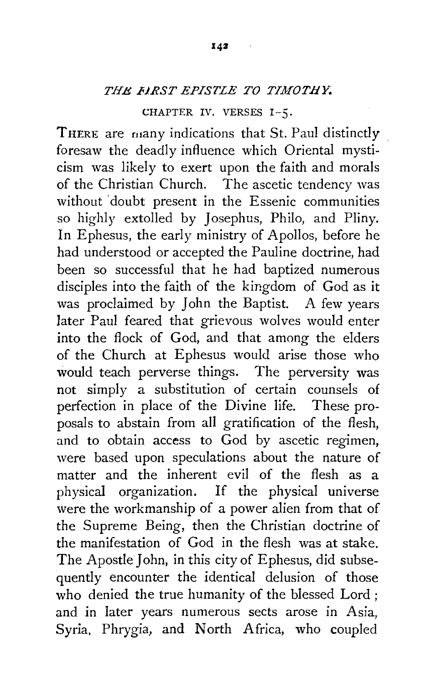## *THE .FJRST EPISTLE TO TIMOTHY:*

CHAPTER IV. VERSES 1-5.

THERE are many indications that St. Paul distinctly foresaw the deadly influence which Oriental mysticism was likely to exert upon the faith and morals of the Christian Church. The ascetic tendency was without doubt present in the Essenic communities so highly extolled by Josephus, Philo, and Pliny. In Ephesus, the early ministry of Apollos, before he had understood or accepted the Pauline doctrine, had been so successful that he had baptized numerous disciples into the faith of the kingdom of God as it was proclaimed by John the Baptist. A few years later Paul feared that grievous wolves would enter into the flock of God, and that among the elders of the Church at Ephesus would arise those who would teach perverse things. The perversity was not simply a substitution of certain counsels of perfection in place of the Divine life. These proposals to abstain from all gratification of the flesh, and to obtain access to God by ascetic regimen, were based upon speculations about the nature of matter and the inherent evil of the flesh as a physical organization. If the physical universe were the workmanship of a power alien from that of the Supreme Being, then the Christian doctrine of the manifestation of God in the flesh was at stake. The Apostle John, in this city of Ephesus, did subsequently encounter the identical delusion of those who denied the true humanity of the blessed Lord ; and in later years numerous sects arose in Asia, Syria, Phrygia, and North Africa, who coupled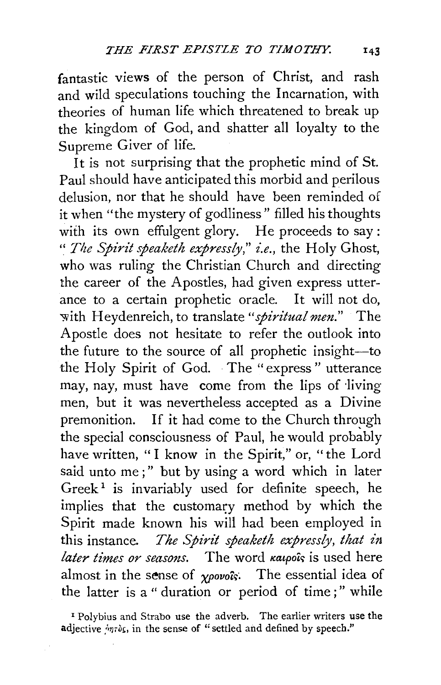fantastic views of the person of Christ, and rash and wild speculations touching the Incarnation, with theories of human life which threatened to break up the kingdom of God, and shatter all loyalty to the Supreme Giver of life.

It is not surprising that the prophetic mind of St. Paul should have anticipated this morbid and perilous delusion, nor that he should have been reminded of it when "the mystery of godliness" filled his thoughts with its own effulgent glory. He proceeds to say: " *The Spirit speaketh expressly," £.e.,* the Holy Ghost, who was ruling the Christian Church and directing the career of the Apostles, had given express utterance to a certain prophetic oracle. It will not do, -with Heydenreich, to translate *"spiritual men."* The Apostle does not hesitate to refer the outlook into the future to the source of all prophetic insight-to the Holy Spirit of God. The "express" utterance may, nay, must have come from the lips of ·living men, but it was nevertheless accepted as a Divine premonition. If it had come to the Church through the special consciousness of Paul, he would probably have written, "I know in the Spirit," or, "the Lord said unto me;" but by using a word which in later Greek<sup>1</sup> is invariably used for definite speech, he implies that the customary method by which the Spirit made known his will had been employed in this instance. *The Spirit speaketh expressly, that in later times or seasons.* The word *katpols* is used here almost in the sense of  $\gamma\rho o\nu o \hat{\kappa}$ . The essential idea of the latter is a " duration or period of time;" while

<sup>1</sup> Polybius and Strabo use the adverb. The earlier writers use the adjective  $\frac{1}{2}$ *nros*, in the sense of "settled and defined by speech."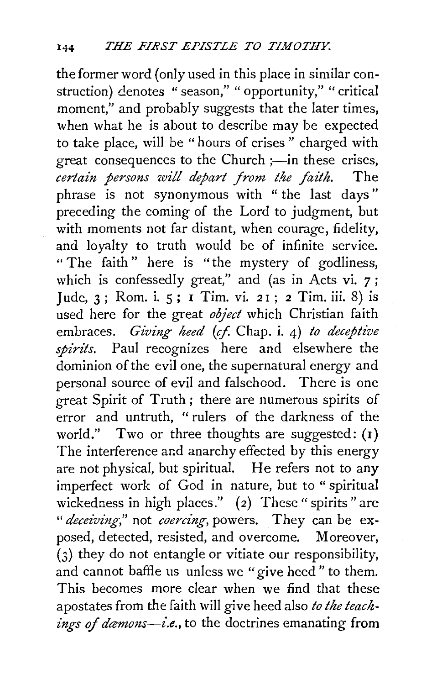the former word (only used in this place in similar construction) denotes "season," "opportunity," "critical moment," and probably suggests that the later times, when what he is about to describe may be expected to take place, will be " hours of crises " charged with great consequences to the Church ;—in these crises, *certain persons will depart from t.lte faith.* The phrase is not synonymous with " the last days" preceding the coming of the Lord to judgment, but with moments not far distant, when courage, fidelity, and loyalty to truth would be of infinite service. " The faith" here is "the mystery of godliness, which is confessedly great," and (as in Acts vi. 7; Jude, 3; Rom. i. 5; I Tim. vi. 21; 2 Tim. iii. 8) is used here for the great *object* which Christian faith embraces. *Giving heed* (cf. Chap. i. 4) *to deceptive spirits.* Paul recognizes here and elsewhere the dominion of the evil one, the supernatural energy and personal source of evil and falsehood. There is one great Spirit of Truth; there are numerous spirits of error and untruth, " rulers of the darkness of the world." Two or three thoughts are suggested:  $(i)$ The interference and anarchy effected by this energy are not physical, but spiritual. He refers not to any imperfect work of God in nature, but to " spiritual wickedness in high places." (2) These " spirits " are *"deceiving,"* not *coercing,* powers. They can be exposed, detected, resisted, and overcome. Moreover,  $(3)$  they do not entangle or vitiate our responsibility, and cannot baffle us unless we "give heed" to them. This becomes more clear when we find that these apostates from the faith will give heed also *to the teachings of damons--i.e.,* to the doctrines emanating from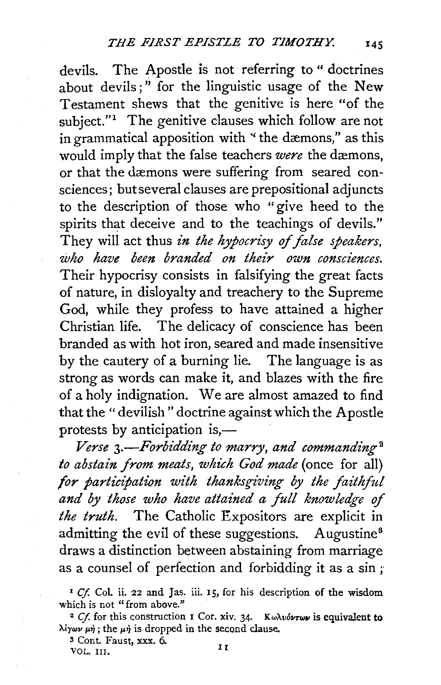devils. The Apostle is not referring to " doctrines about devils;" for the linguistic usage of the New Testament shews that the genitive is here "of the subject." $1$  The genitive clauses which follow are not in grammatical apposition with "the dæmons," as this would imply that the false teachers *were* the dæmons, or that the dæmons were suffering from seared consciences; but several clauses are prepositional adjuncts to the description of those who "give heed to the spirits that deceive and to the teachings of devils." They will act thus *in the hypocrisy of false speakers*, *who have been branded on their own consciences.*  Their hypocrisy consists in falsifying the great facts of nature, in disloyalty and treachery to the Supreme God, while they profess to have attained a higher Christian life. The delicacy of conscience has been branded as with hot iron, seared and made insensitive by the cautery of a burning lie. The language is as strong as words can make it, and blazes with the fire of a holy indignation. We are almost amazed to find that the "devilish" doctrine against which the Apostle protests by anticipation is,—

Verse 3.—Forbidding to marry, and commanding<sup>2</sup> *to abstain from meats, which God made* (once for all) for participation with thanksgiving by the faithful *and by those who have attained a full knowledge of the truth.* The Catholic Expositors are explicit in admitting the evil of these suggestions. Augustine<sup>8</sup> draws a distinction between abstaining from marriage as a counsel of perfection and forbidding it as a sin ;

<sup>3</sup> Cont. Faust, xxx. 6.<br>VOL. III.

<sup>1</sup>*Cf.* Col. ii. 22 and Jas. iii. 15, for his description of the wisdom which is not "from above."

<sup>&</sup>lt;sup>2</sup> Cf. for this construction **I** Cor. xiv. 34. *Kωλνόντων* is equivalent to  $\lambda \xi \gamma \omega \nu \mu \eta$ ; the  $\mu \eta$  is dropped in the second clause.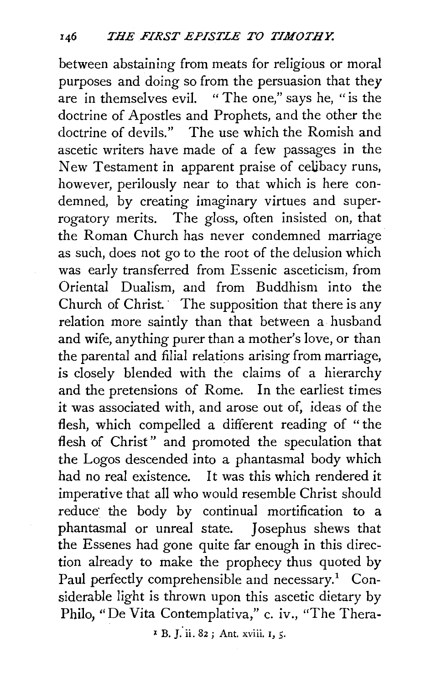between abstaining from meats for religious or moral purposes and doing so from the persuasion that they are in themselves evil. "The one," says he, "is the doctrine of Apostles and Prophets, and the other the doctrine of devils." The use which the Romish and ascetic writers have made of a few passages in the New Testament in apparent praise of celibacy runs, however, perilously near to that which is here condemned, by creating imaginary virtues and superrogatory merits. The gloss, often insisted on, that the Roman Church has never condemned marriage as such, does not go to the root of the delusion which was early transferred from Essenic asceticism, from Oriental Dualism, and from Buddhism into the Church of Christ. The supposition that there is any relation more saintly than that between a husband and wife, anything purer than a mother's love, or than the parental and filial relations arising from marriage, is closely blended with the claims of a hierarchy and the pretensions of Rome. In the earliest times it was associated with, and arose out of, ideas of the flesh, which compelled a different reading of "the flesh of Christ" and promoted the speculation that the Logos descended into a phantasmal body which had no real existence. It was this which rendered it imperative that all who would resemble Christ should reduce· the body by continual mortification to a phantasmal or unreal state. Josephus shews that the Essenes had gone quite far enough in this direction already to make the prophecy thus quoted by Paul perfectly comprehensible and necessary.<sup>1</sup> Considerable light is thrown upon this ascetic dietary by Philo, "De Vita Contemplativa," c. iv., "The Thera-

x B. *{* ii. 82 ; Ant. xviii. r, 5·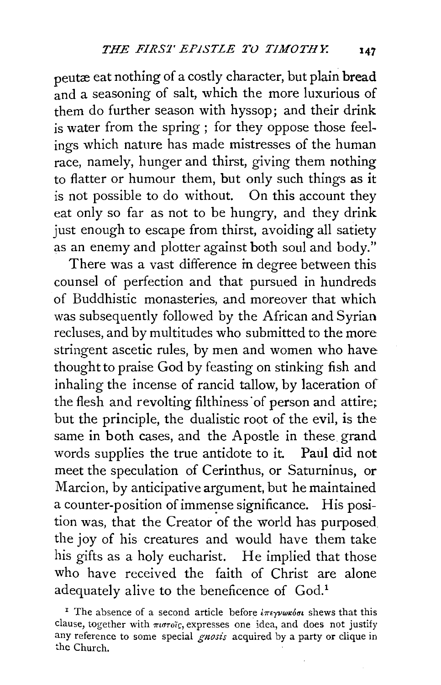peutæ eat nothing of a costly character, but plain bread and a seasoning of salt, which the more luxurious of them do further season with hyssop; and their drink is water from the spring ; for they oppose those feelings which nature has made mistresses of the human race, namely, hunger and thirst, giving them nothing to flatter or humour them, but only such things as it is not possible to do without. On this account they eat only so far as not to be hungry, and they drink just enough to escape from thirst, avoiding all satiety as an enemy and plotter against both soul and body."

There was a vast difference in degree between this counsel of perfection and that pursued in hundreds of Buddhistic monasteries, and moreover that which was subsequently followed by the African and Syrian recluses, and by multitudes who submitted to the more stringent ascetic rules, by men and women who have thought to praise God by feasting on stinking fish and inhaling the incense of rancid tallow, by laceration of the flesh and revolting filthiness of person and attire; but the principle, the dualistic root of the evil, is the same in both cases, and the Apostle in these grand words supplies the true antidote to it. Paul did not meet the speculation of Cerinthus, or Saturninus, or Marcion, by anticipative argument, but he maintained a counter-position of immense significance. His position was, that the Creator of the world has purposed the joy of his creatures and would have them take his gifts as a holy eucharist. He implied that those who have received the faith of Christ are alone adequately alive to the beneficence of God.<sup>1</sup>

<sup>&</sup>lt;sup>1</sup> The absence of a second article before  $i\pi\epsilon\gamma\nu\omega\kappa\delta\sigma\iota$  shews that this clause, together with  $\pi u \sigma \tilde{c}$ , expresses one idea, and does not justify any reference to some special *gnosis* acquired by a party or clique in the Church.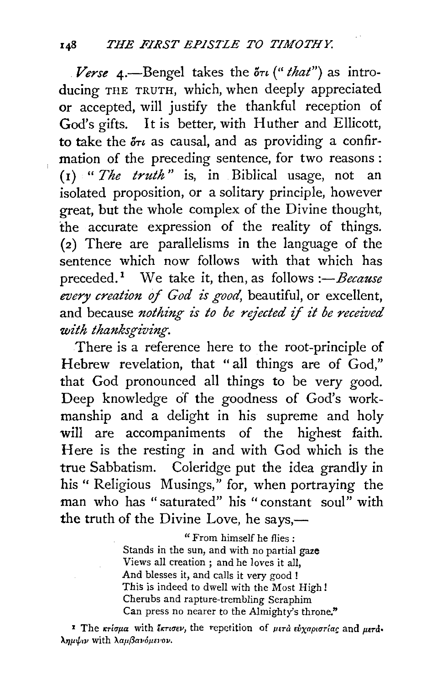*Verse* 4.—Bengel takes the  $\delta \tau \iota$  ("*that*") as introducing THE TRUTH, which, when deeply appreciated or accepted, will justify the thankful reception of God's gifts. It is better, with Huther and Ellicott, to take the  $\delta \tau i$  as causal, and as providing a confirmation of the preceding sentence, for two reasons : (I) " *The truth* " is, in Biblical usage, not an isolated proposition, or a solitary principle, however great, but the whole complex of the Divine thought, the accurate expression of the reality of things. (2) There are parallelisms in the language of the sentence which now follows with that which has preceded.<sup>1</sup> We take it, then, as follows *:-Because every creation* of *God is good,* beautiful, or excellent, and because *nothing is to be rejected* if *it be received with thanksgiving.* 

There is a reference here to the root-principle of Hebrew revelation, that " all things are of God," that God pronounced all things to be very good. Deep knowledge of the goodness of God's workmanship and a delight in his supreme and holy will are accompaniments of the highest faith. Here is the resting in and with God which is the true Sabbatism. Coleridge put the idea grandly in his" Religious Musings," for, when portraying the man who has "saturated" his "constant soul" with the truth of the Divine Love, he says,—

> " From himself he flies : Stands in the sun, and with no partial gaze Views all creation ; and he loves it all, And blesses it, and calls it very good ! This is indeed to dwell with the Most High! Cherubs and rapture-trembling Seraphim Can press no nearer to the Almighty's throne."

<sup>1</sup> The  $\kappa r$ *ioua* with *ikrisev*, the repetition of *μετά ευχαριστίας* and *μετά ).l'Jp>/;tV* With *\ap{3aVOJ1El'OV.*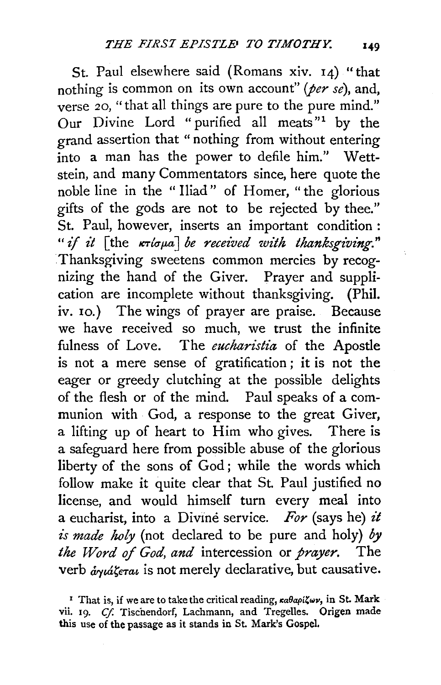St. Paul elsewhere said (Romans xiv. 14) "that nothing is common on its own account" *(per se),* and, verse 20, "that all things are pure to the pure mind." Our Divine Lord "purified all meats"<sup>1</sup> by the grand assertion that "nothing from without entering into a man has the power to defile him." Wettstein, and many Commentators since, here quote the noble line in the "Iliad" of Homer, "the glorious gifts of the gods are not to be rejected by thee." St. Paul, however, inserts an important condition : *"if it* [the  $\kappa\tau$ *ioua] be received with thanksgiving.*" Thanksgiving sweetens common mercies by recognizing the hand of the Giver. Prayer and supplication are incomplete without thanksgiving. (Phil. iv. 10.) The wings of prayer are praise. Because we have received so much, we trust the infinite fulness of Love. The *eucharistia* of the Apostle is not a mere sense of gratification ; it is not the eager or greedy clutching at the possible delights of the flesh or of the mind. Paul speaks of a communion with God, a response to the great Giver, a lifting up of heart to Him who gives. There is a safeguard here from possible abuse of the glorious liberty of the sons of God; while the words which follow make it quite clear that St. Paul justified no license, and would himself turn every meal into a eucharist, into a Divine service. For (says he) it *£s made holy* (not declared to be pure and holy) *by the Word* of *God, and* intercession or *prayer.* The verb  $\dot{a}\gamma\dot{a}\zeta$ era $i$  is not merely declarative, but causative.

<sup>&</sup>lt;sup>1</sup> That is, if we are to take the critical reading,  $\kappa a \theta a \rho i \zeta \omega \nu$ , in St. Mark vii. 19. *Cf.* Tischendorf, Lachmann, and Tregelles. Origen made this use of the passage as it stands in St. Mark's GospeL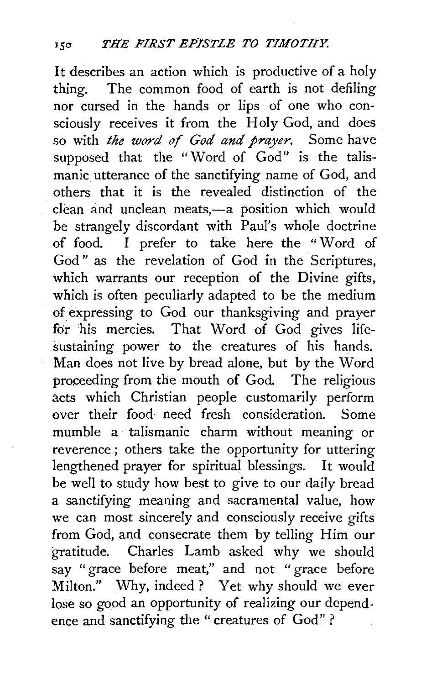It describes an action which is productive of a holy thing. The common food of earth is not defiling nor cursed in the hands or lips of one who consciously receives it from the Holy God, and does so with *the word of God and prayer.* Some have supposed that the "Word of God" is the talismanic utterance of the sanctifying name of God, and others that it is the revealed distinction of the clean and unclean meats,-a position which would be strangely discordant with Paul's whole doctrine of food. I prefer to take here the " Word of God" as the revelation of God in the Scriptures, which warrants our reception of the Divine gifts, which is often peculiarly adapted to be the medium of expressing to God our thanksgiving and prayer for his mercies. That Word of God gives lifesustaining power to the creatures of his hands. Man does not live by bread alone, but by the Word proceeding from the mouth of God. The religious acts which Christian people customarily perform over their food need fresh consideration. Some mumble a talismanic charm without meaning or reverence ; others take the opportunity for uttering lengthened prayer for spiritual blessings. It would be well to study how best to give to our daily bread a sanctifying meaning and sacramental value, how we can most sincerely and consciously receive gifts from God, and consecrate them by telling Him our gratitude. Charles Lamb asked why we should say " grace before meat," and not " grace before Milton." Why, indeed ? Yet why should we ever lose so good an opportunity of realizing our dependence and sanctifying the "creatures of God" ?